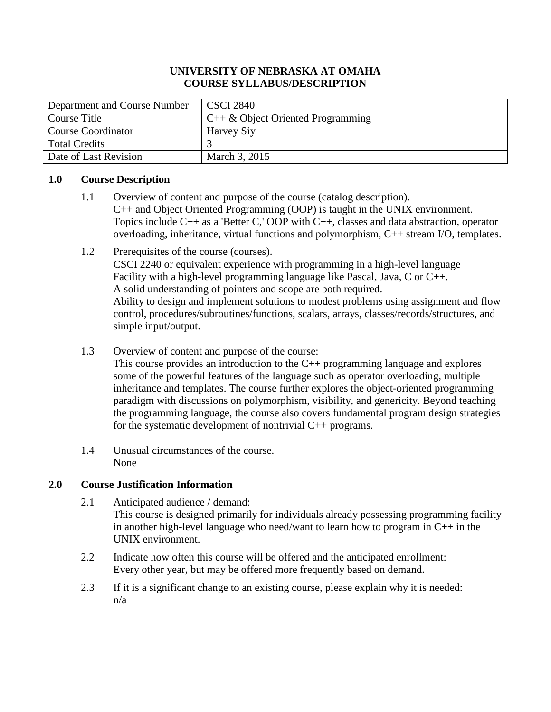# **UNIVERSITY OF NEBRASKA AT OMAHA COURSE SYLLABUS/DESCRIPTION**

| Department and Course Number | <b>CSCI 2840</b>                    |
|------------------------------|-------------------------------------|
| Course Title                 | $C++\&$ Object Oriented Programming |
| Course Coordinator           | <b>Harvey Siy</b>                   |
| Total Credits                |                                     |
| Date of Last Revision        | March 3, 2015                       |

# **1.0 Course Description**

- 1.1 Overview of content and purpose of the course (catalog description). C++ and Object Oriented Programming (OOP) is taught in the UNIX environment. Topics include C++ as a 'Better C,' OOP with C++, classes and data abstraction, operator overloading, inheritance, virtual functions and polymorphism, C++ stream I/O, templates.
- 1.2 Prerequisites of the course (courses). CSCI 2240 or equivalent experience with programming in a high-level language Facility with a high-level programming language like Pascal, Java, C or C++. A solid understanding of pointers and scope are both required. Ability to design and implement solutions to modest problems using assignment and flow control, procedures/subroutines/functions, scalars, arrays, classes/records/structures, and simple input/output.
- 1.3 Overview of content and purpose of the course:

This course provides an introduction to the C++ programming language and explores some of the powerful features of the language such as operator overloading, multiple inheritance and templates. The course further explores the object-oriented programming paradigm with discussions on polymorphism, visibility, and genericity. Beyond teaching the programming language, the course also covers fundamental program design strategies for the systematic development of nontrivial C++ programs.

1.4 Unusual circumstances of the course. None

# **2.0 Course Justification Information**

- 2.1 Anticipated audience / demand: This course is designed primarily for individuals already possessing programming facility in another high-level language who need/want to learn how to program in  $C_{++}$  in the UNIX environment.
- 2.2 Indicate how often this course will be offered and the anticipated enrollment: Every other year, but may be offered more frequently based on demand.
- 2.3 If it is a significant change to an existing course, please explain why it is needed: n/a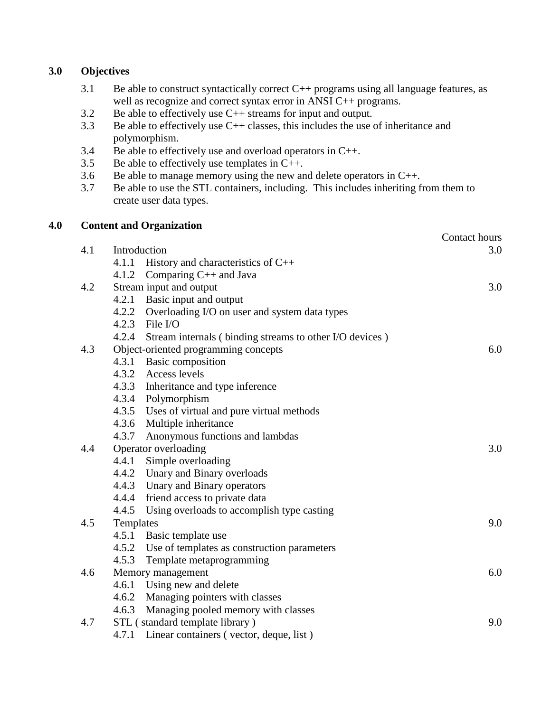# **3.0 Objectives**

- 3.1 Be able to construct syntactically correct  $C_{++}$  programs using all language features, as well as recognize and correct syntax error in ANSI C++ programs.
- 3.2 Be able to effectively use C++ streams for input and output.
- 3.3 Be able to effectively use C++ classes, this includes the use of inheritance and polymorphism.
- 3.4 Be able to effectively use and overload operators in C++.
- 3.5 Be able to effectively use templates in  $C_{++}$ .
- 3.6 Be able to manage memory using the new and delete operators in C++.
- 3.7 Be able to use the STL containers, including. This includes inheriting from them to create user data types.

# **4.0 Content and Organization**

|     |                                                               | Contact hours |
|-----|---------------------------------------------------------------|---------------|
| 4.1 | Introduction                                                  | 3.0           |
|     | History and characteristics of $C++$<br>4.1.1                 |               |
|     | 4.1.2 Comparing C++ and Java                                  |               |
| 4.2 | Stream input and output                                       | 3.0           |
|     | 4.2.1 Basic input and output                                  |               |
|     | 4.2.2 Overloading I/O on user and system data types           |               |
|     | 4.2.3<br>File I/O                                             |               |
|     | 4.2.4 Stream internals (binding streams to other I/O devices) |               |
| 4.3 | Object-oriented programming concepts                          | 6.0           |
|     | 4.3.1 Basic composition                                       |               |
|     | 4.3.2 Access levels                                           |               |
|     | 4.3.3 Inheritance and type inference                          |               |
|     | 4.3.4<br>Polymorphism                                         |               |
|     | 4.3.5 Uses of virtual and pure virtual methods                |               |
|     | 4.3.6<br>Multiple inheritance                                 |               |
|     | 4.3.7<br>Anonymous functions and lambdas                      |               |
| 4.4 | Operator overloading                                          | 3.0           |
|     | 4.4.1 Simple overloading                                      |               |
|     | 4.4.2 Unary and Binary overloads                              |               |
|     | 4.4.3<br>Unary and Binary operators                           |               |
|     | 4.4.4 friend access to private data                           |               |
|     | 4.4.5 Using overloads to accomplish type casting              |               |
| 4.5 | Templates                                                     | 9.0           |
|     | 4.5.1 Basic template use                                      |               |
|     | 4.5.2 Use of templates as construction parameters             |               |
|     | 4.5.3<br>Template metaprogramming                             |               |
| 4.6 | Memory management                                             | 6.0           |
|     | 4.6.1 Using new and delete                                    |               |
|     | 4.6.2 Managing pointers with classes                          |               |
|     | Managing pooled memory with classes<br>4.6.3                  |               |
| 4.7 | STL (standard template library)                               | 9.0           |
|     | 4.7.1 Linear containers (vector, deque, list)                 |               |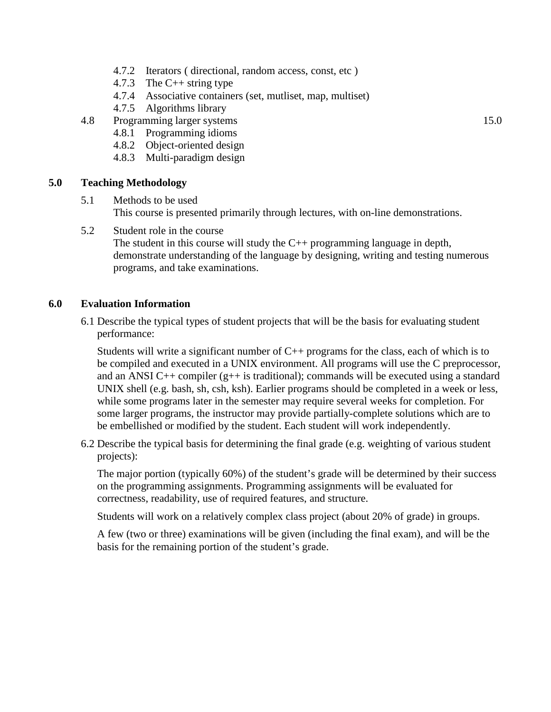- 4.7.2 Iterators ( directional, random access, const, etc )
- 4.7.3 The C++ string type
- 4.7.4 Associative containers (set, mutliset, map, multiset)
- 4.7.5 Algorithms library
- 4.8 Programming larger systems 15.0
	- 4.8.1 Programming idioms
	- 4.8.2 Object-oriented design
	- 4.8.3 Multi-paradigm design

#### **5.0 Teaching Methodology**

- 5.1 Methods to be used This course is presented primarily through lectures, with on-line demonstrations.
- 5.2 Student role in the course

The student in this course will study the C++ programming language in depth, demonstrate understanding of the language by designing, writing and testing numerous programs, and take examinations.

### **6.0 Evaluation Information**

6.1 Describe the typical types of student projects that will be the basis for evaluating student performance:

Students will write a significant number of  $C_{++}$  programs for the class, each of which is to be compiled and executed in a UNIX environment. All programs will use the C preprocessor, and an ANSI C++ compiler  $(g++$  is traditional); commands will be executed using a standard UNIX shell (e.g. bash, sh, csh, ksh). Earlier programs should be completed in a week or less, while some programs later in the semester may require several weeks for completion. For some larger programs, the instructor may provide partially-complete solutions which are to be embellished or modified by the student. Each student will work independently.

6.2 Describe the typical basis for determining the final grade (e.g. weighting of various student projects):

The major portion (typically 60%) of the student's grade will be determined by their success on the programming assignments. Programming assignments will be evaluated for correctness, readability, use of required features, and structure.

Students will work on a relatively complex class project (about 20% of grade) in groups.

A few (two or three) examinations will be given (including the final exam), and will be the basis for the remaining portion of the student's grade.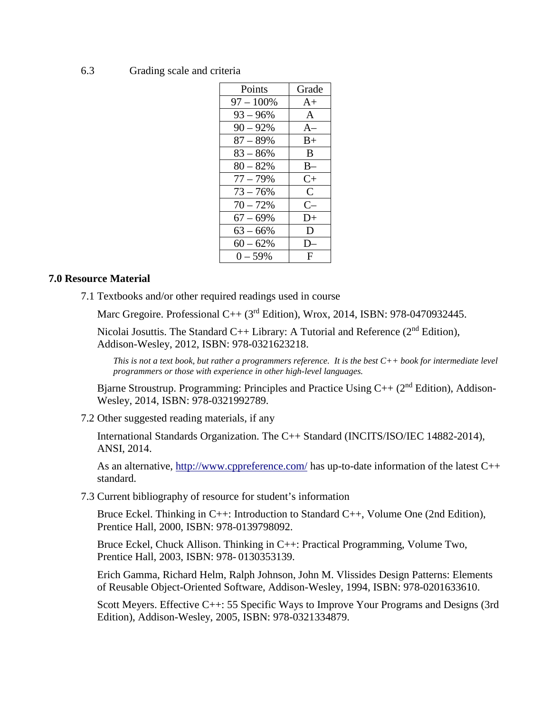#### 6.3 Grading scale and criteria

| Points       | Grade        |
|--------------|--------------|
| $97 - 100\%$ | $A+$         |
| $93 - 96%$   | $\mathsf{A}$ |
| $90 - 92%$   | $A-$         |
| $87 - 89%$   | $B+$         |
| $83 - 86\%$  | B            |
| $80 - 82%$   | $B-$         |
| $77 - 79%$   | $C+$         |
| $73 - 76%$   | C            |
| $70 - 72%$   | $C-$         |
| $67 - 69%$   | $D+$         |
| $63 - 66\%$  | D            |
| $60 - 62\%$  | ו ו          |
| $0 - 59\%$   | F            |
|              |              |

#### **7.0 Resource Material**

7.1 Textbooks and/or other required readings used in course

Marc Gregoire. Professional C++ (3<sup>rd</sup> Edition), Wrox, 2014, ISBN: 978-0470932445.

Nicolai Josuttis. The Standard C++ Library: A Tutorial and Reference  $(2<sup>nd</sup> Edition)$ , Addison-Wesley, 2012, ISBN: 978-0321623218.

*This is not a text book, but rather a programmers reference. It is the best C++ book for intermediate level programmers or those with experience in other high-level languages.*

Bjarne Stroustrup. Programming: Principles and Practice Using  $C_{++}$  (2<sup>nd</sup> Edition), Addison-Wesley, 2014, ISBN: 978-0321992789.

7.2 Other suggested reading materials, if any

International Standards Organization. The C++ Standard (INCITS/ISO/IEC 14882-2014), ANSI, 2014.

As an alternative,<http://www.cppreference.com/> has up-to-date information of the latest C++ standard.

7.3 Current bibliography of resource for student's information

Bruce Eckel. Thinking in C++: Introduction to Standard C++, Volume One (2nd Edition), Prentice Hall, 2000, ISBN: 978-0139798092.

Bruce Eckel, Chuck Allison. Thinking in C++: Practical Programming, Volume Two, Prentice Hall, 2003, ISBN: 978- 0130353139.

Erich Gamma, Richard Helm, Ralph Johnson, John M. Vlissides Design Patterns: Elements of Reusable Object-Oriented Software, Addison-Wesley, 1994, ISBN: 978-0201633610.

Scott Meyers. Effective C++: 55 Specific Ways to Improve Your Programs and Designs (3rd Edition), Addison-Wesley, 2005, ISBN: 978-0321334879.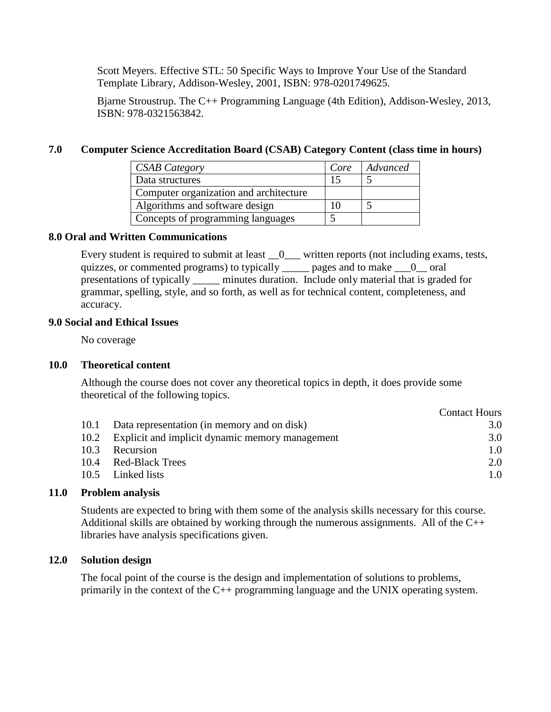Scott Meyers. Effective STL: 50 Specific Ways to Improve Your Use of the Standard Template Library, Addison-Wesley, 2001, ISBN: 978-0201749625.

Bjarne Stroustrup. The C++ Programming Language (4th Edition), Addison-Wesley, 2013, ISBN: 978-0321563842.

### **7.0 Computer Science Accreditation Board (CSAB) Category Content (class time in hours)**

| <b>CSAB</b> Category                   | Core | Advanced |
|----------------------------------------|------|----------|
| Data structures                        | 15   |          |
| Computer organization and architecture |      |          |
| Algorithms and software design         |      |          |
| Concepts of programming languages      |      |          |

### **8.0 Oral and Written Communications**

Every student is required to submit at least  $\_\_0$  written reports (not including exams, tests, quizzes, or commented programs) to typically  $\qquad$  pages and to make  $\qquad 0$  oral presentations of typically \_\_\_\_\_\_ minutes duration. Include only material that is graded for grammar, spelling, style, and so forth, as well as for technical content, completeness, and accuracy.

### **9.0 Social and Ethical Issues**

No coverage

# **10.0 Theoretical content**

Although the course does not cover any theoretical topics in depth, it does provide some theoretical of the following topics.

|      |                                                      | <b>Contact Hours</b> |
|------|------------------------------------------------------|----------------------|
|      | 10.1 Data representation (in memory and on disk)     | 3.0                  |
|      | 10.2 Explicit and implicit dynamic memory management | 3.0                  |
| 10.3 | Recursion                                            | 1.0                  |
| 10.4 | <b>Red-Black Trees</b>                               | 2.0                  |
|      | 10.5 Linked lists                                    | 1.0                  |

# **11.0 Problem analysis**

Students are expected to bring with them some of the analysis skills necessary for this course. Additional skills are obtained by working through the numerous assignments. All of the  $C_{++}$ libraries have analysis specifications given.

### **12.0 Solution design**

The focal point of the course is the design and implementation of solutions to problems, primarily in the context of the C++ programming language and the UNIX operating system.